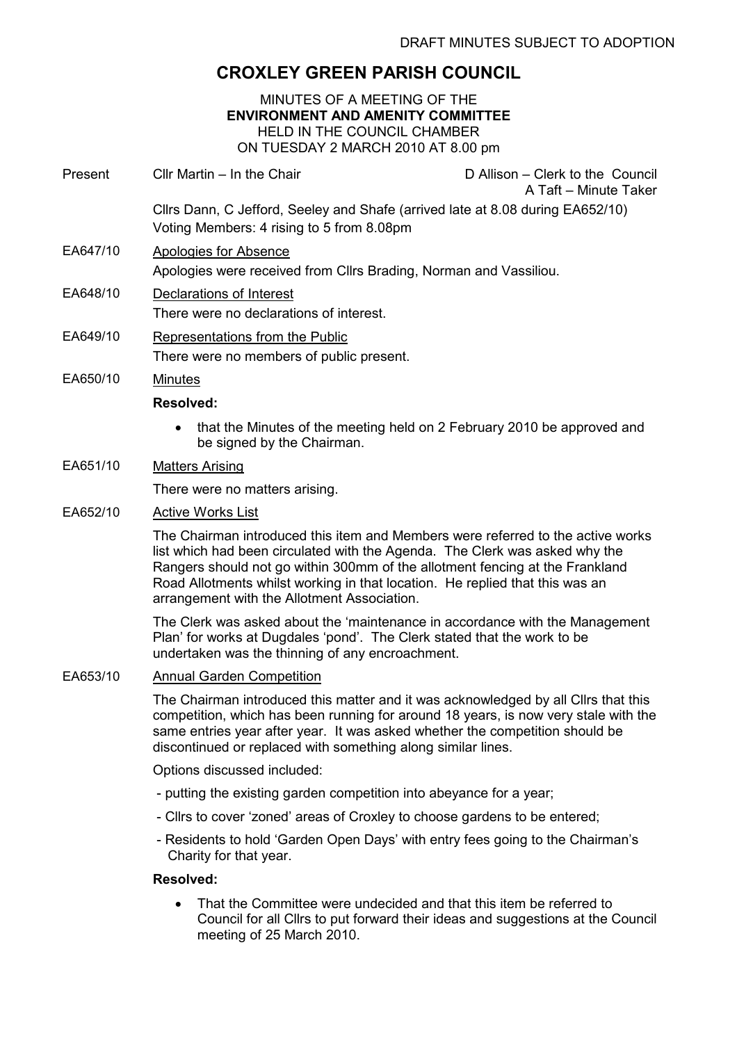# CROXLEY GREEN PARISH COUNCIL

MINUTES OF A MEETING OF THE ENVIRONMENT AND AMENITY COMMITTEE HELD IN THE COUNCIL CHAMBER ON TUESDAY 2 MARCH 2010 AT 8.00 pm

Present Cllr Martin – In the Chair D Allison – Clerk to the Council A Taft – Minute Taker

Cllrs Dann, C Jefford, Seeley and Shafe (arrived late at 8.08 during EA652/10) Voting Members: 4 rising to 5 from 8.08pm

- EA647/10 Apologies for Absence Apologies were received from Cllrs Brading, Norman and Vassiliou.
- EA648/10 Declarations of Interest There were no declarations of interest.
- EA649/10 Representations from the Public There were no members of public present.
- EA650/10 Minutes

# Resolved:

• that the Minutes of the meeting held on 2 February 2010 be approved and be signed by the Chairman.

# EA651/10 Matters Arising

There were no matters arising.

# EA652/10 Active Works List

The Chairman introduced this item and Members were referred to the active works list which had been circulated with the Agenda. The Clerk was asked why the Rangers should not go within 300mm of the allotment fencing at the Frankland Road Allotments whilst working in that location. He replied that this was an arrangement with the Allotment Association.

The Clerk was asked about the 'maintenance in accordance with the Management Plan' for works at Dugdales 'pond'. The Clerk stated that the work to be undertaken was the thinning of any encroachment.

EA653/10 Annual Garden Competition

The Chairman introduced this matter and it was acknowledged by all Cllrs that this competition, which has been running for around 18 years, is now very stale with the same entries year after year. It was asked whether the competition should be discontinued or replaced with something along similar lines.

Options discussed included:

- putting the existing garden competition into abeyance for a year;
- Cllrs to cover 'zoned' areas of Croxley to choose gardens to be entered;
- Residents to hold 'Garden Open Days' with entry fees going to the Chairman's Charity for that year.

#### Resolved:

• That the Committee were undecided and that this item be referred to Council for all Cllrs to put forward their ideas and suggestions at the Council meeting of 25 March 2010.